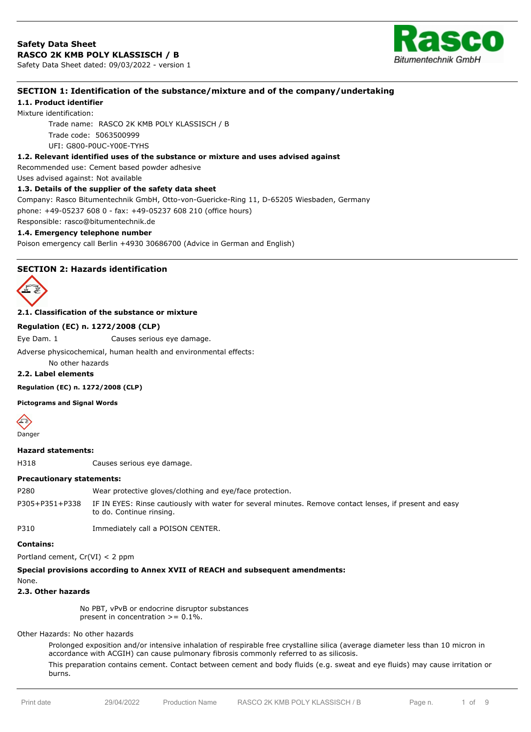

# **SECTION 1: Identification of the substance/mixture and of the company/undertaking**

# **1.1. Product identifier**

Mixture identification: Trade name: RASCO 2K KMB POLY KLASSISCH / B Trade code: 5063500999 UFI: G800-P0UC-Y00E-TYHS

### **1.2. Relevant identified uses of the substance or mixture and uses advised against**

Recommended use: Cement based powder adhesive

Uses advised against: Not available

### **1.3. Details of the supplier of the safety data sheet**

Company: Rasco Bitumentechnik GmbH, Otto-von-Guericke-Ring 11, D-65205 Wiesbaden, Germany phone: +49-05237 608 0 - fax: +49-05237 608 210 (office hours)

Responsible: rasco@bitumentechnik.de

## **1.4. Emergency telephone number**

Poison emergency call Berlin +4930 30686700 (Advice in German and English)

# **SECTION 2: Hazards identification**



**2.1. Classification of the substance or mixture**

### **Regulation (EC) n. 1272/2008 (CLP)**

Eye Dam. 1 Causes serious eye damage.

Adverse physicochemical, human health and environmental effects:

No other hazards

# **2.2. Label elements**

**Regulation (EC) n. 1272/2008 (CLP)**

**Pictograms and Signal Words**



### **Hazard statements:**

H318 Causes serious eye damage.

### **Precautionary statements:**

P280 Wear protective gloves/clothing and eye/face protection.

P305+P351+P338 IF IN EYES: Rinse cautiously with water for several minutes. Remove contact lenses, if present and easy to do. Continue rinsing.

P310 Immediately call a POISON CENTER.

**Contains:**

Portland cement, Cr(VI) < 2 ppm

# **Special provisions according to Annex XVII of REACH and subsequent amendments:**

None.

### **2.3. Other hazards**

No PBT, vPvB or endocrine disruptor substances present in concentration  $> = 0.1\%$ .

### Other Hazards: No other hazards

Prolonged exposition and/or intensive inhalation of respirable free crystalline silica (average diameter less than 10 micron in accordance with ACGIH) can cause pulmonary fibrosis commonly referred to as silicosis.

This preparation contains cement. Contact between cement and body fluids (e.g. sweat and eye fluids) may cause irritation or burns.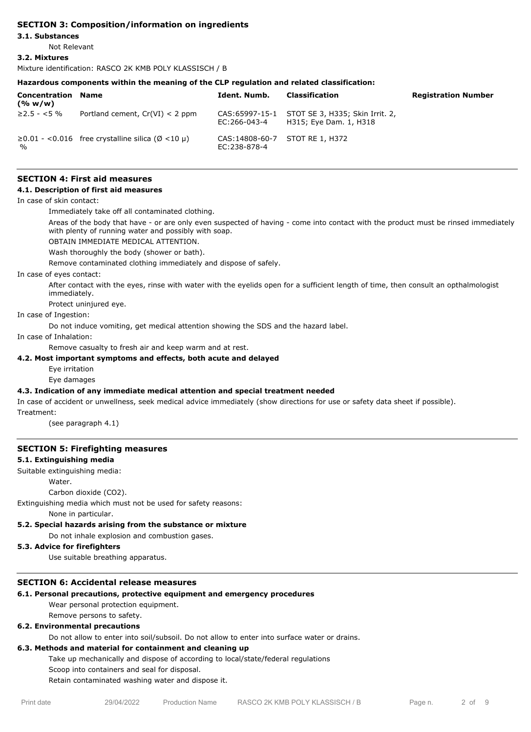# **SECTION 3: Composition/information on ingredients**

### **3.1. Substances**

Not Relevant

### **3.2. Mixtures**

Mixture identification: RASCO 2K KMB POLY KLASSISCH / B

### **Hazardous components within the meaning of the CLP regulation and related classification:**

| Concentration<br>(% w/w) | Name                                                   | Ident. Numb.                                     | Classification                                                           | <b>Registration Number</b> |
|--------------------------|--------------------------------------------------------|--------------------------------------------------|--------------------------------------------------------------------------|----------------------------|
| $≥2.5 - <5%$             | Portland cement, $Cr(VI) < 2$ ppm                      | EC:266-043-4                                     | CAS:65997-15-1 STOT SE 3, H335; Skin Irrit. 2,<br>H315; Eye Dam. 1, H318 |                            |
| $\frac{1}{2}$            | $\geq$ 0.01 - <0.016 free crystalline silica (Ø <10 µ) | CAS: 14808-60-7 STOT RE 1, H372<br>EC: 238-878-4 |                                                                          |                            |

# **SECTION 4: First aid measures**

### **4.1. Description of first aid measures**

In case of skin contact:

Immediately take off all contaminated clothing.

Areas of the body that have - or are only even suspected of having - come into contact with the product must be rinsed immediately with plenty of running water and possibly with soap.

OBTAIN IMMEDIATE MEDICAL ATTENTION.

Wash thoroughly the body (shower or bath).

Remove contaminated clothing immediately and dispose of safely.

In case of eyes contact:

After contact with the eyes, rinse with water with the eyelids open for a sufficient length of time, then consult an opthalmologist immediately.

Protect uninjured eye.

In case of Ingestion:

Do not induce vomiting, get medical attention showing the SDS and the hazard label.

In case of Inhalation:

Remove casualty to fresh air and keep warm and at rest.

### **4.2. Most important symptoms and effects, both acute and delayed**

Eye irritation

Eye damages

### **4.3. Indication of any immediate medical attention and special treatment needed**

In case of accident or unwellness, seek medical advice immediately (show directions for use or safety data sheet if possible).

Treatment:

(see paragraph 4.1)

### **SECTION 5: Firefighting measures**

### **5.1. Extinguishing media**

Suitable extinguishing media:

Water.

Carbon dioxide (CO2).

Extinguishing media which must not be used for safety reasons:

None in particular.

### **5.2. Special hazards arising from the substance or mixture**

Do not inhale explosion and combustion gases.

# **5.3. Advice for firefighters**

Use suitable breathing apparatus.

### **SECTION 6: Accidental release measures**

### **6.1. Personal precautions, protective equipment and emergency procedures**

Wear personal protection equipment. Remove persons to safety.

### **6.2. Environmental precautions**

Do not allow to enter into soil/subsoil. Do not allow to enter into surface water or drains.

# **6.3. Methods and material for containment and cleaning up**

Take up mechanically and dispose of according to local/state/federal regulations

Scoop into containers and seal for disposal.

Retain contaminated washing water and dispose it.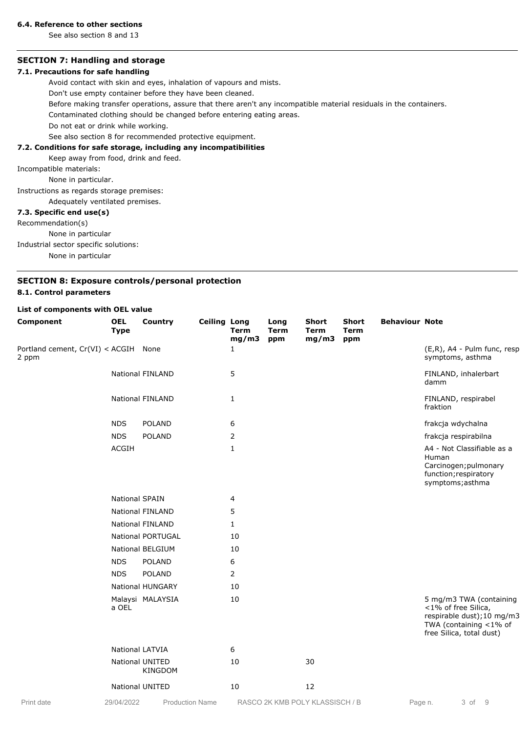### **6.4. Reference to other sections**

See also section 8 and 13

# **SECTION 7: Handling and storage**

# **7.1. Precautions for safe handling**

Avoid contact with skin and eyes, inhalation of vapours and mists.

Don't use empty container before they have been cleaned.

Before making transfer operations, assure that there aren't any incompatible material residuals in the containers.

Contaminated clothing should be changed before entering eating areas.

Do not eat or drink while working.

See also section 8 for recommended protective equipment.

# **7.2. Conditions for safe storage, including any incompatibilities**

Keep away from food, drink and feed.

Incompatible materials:

None in particular.

Instructions as regards storage premises:

Adequately ventilated premises.

### **7.3. Specific end use(s)**

Recommendation(s)

None in particular

Industrial sector specific solutions:

None in particular

# **SECTION 8: Exposure controls/personal protection 8.1. Control parameters**

# **List of components with OEL value**

| Component                                     | <b>OEL</b><br><b>Type</b> | Country                           | <b>Ceiling Long</b> | <b>Term</b><br>mg/m3 | Long<br><b>Term</b><br>ppm | Short<br><b>Term</b><br>mg/m3 | <b>Short</b><br><b>Term</b><br>ppm | <b>Behaviour Note</b> |                                                                                                                                    |
|-----------------------------------------------|---------------------------|-----------------------------------|---------------------|----------------------|----------------------------|-------------------------------|------------------------------------|-----------------------|------------------------------------------------------------------------------------------------------------------------------------|
| Portland cement, Cr(VI) < ACGIH None<br>2 ppm |                           |                                   |                     | 1                    |                            |                               |                                    |                       | (E,R), A4 - Pulm func, resp<br>symptoms, asthma                                                                                    |
|                                               |                           | <b>National FINLAND</b>           |                     | 5                    |                            |                               |                                    |                       | FINLAND, inhalerbart<br>damm                                                                                                       |
|                                               |                           | <b>National FINLAND</b>           |                     | 1                    |                            |                               |                                    |                       | FINLAND, respirabel<br>fraktion                                                                                                    |
|                                               | <b>NDS</b>                | <b>POLAND</b>                     |                     | 6                    |                            |                               |                                    |                       | frakcja wdychalna                                                                                                                  |
|                                               | <b>NDS</b>                | <b>POLAND</b>                     |                     | $\overline{2}$       |                            |                               |                                    |                       | frakcja respirabilna                                                                                                               |
|                                               | <b>ACGIH</b>              |                                   |                     | 1                    |                            |                               |                                    |                       | A4 - Not Classifiable as a<br>Human<br>Carcinogen; pulmonary<br>function; respiratory<br>symptoms; asthma                          |
|                                               | <b>National SPAIN</b>     |                                   |                     | 4                    |                            |                               |                                    |                       |                                                                                                                                    |
|                                               |                           | <b>National FINLAND</b>           |                     | 5                    |                            |                               |                                    |                       |                                                                                                                                    |
|                                               |                           | <b>National FINLAND</b>           |                     | $\mathbf{1}$         |                            |                               |                                    |                       |                                                                                                                                    |
|                                               |                           | National PORTUGAL                 |                     | 10                   |                            |                               |                                    |                       |                                                                                                                                    |
|                                               |                           | National BELGIUM                  |                     | 10                   |                            |                               |                                    |                       |                                                                                                                                    |
|                                               | <b>NDS</b>                | <b>POLAND</b>                     |                     | 6                    |                            |                               |                                    |                       |                                                                                                                                    |
|                                               | <b>NDS</b>                | <b>POLAND</b>                     |                     | 2                    |                            |                               |                                    |                       |                                                                                                                                    |
|                                               |                           | National HUNGARY                  |                     | 10                   |                            |                               |                                    |                       |                                                                                                                                    |
|                                               | a OEL                     | Malaysi MALAYSIA                  |                     | 10                   |                            |                               |                                    |                       | 5 mg/m3 TWA (containing<br><1% of free Silica,<br>respirable dust); 10 mg/m3<br>TWA (containing <1% of<br>free Silica, total dust) |
|                                               | National LATVIA           |                                   |                     | 6                    |                            |                               |                                    |                       |                                                                                                                                    |
|                                               |                           | National UNITED<br><b>KINGDOM</b> |                     | 10                   |                            | 30                            |                                    |                       |                                                                                                                                    |
|                                               |                           | National UNITED                   |                     | 10                   |                            | 12                            |                                    |                       |                                                                                                                                    |

**Production Name** 

Print date 29/04/2022 Production Name RASCO 2K KMB POLY KLASSISCH / B Page n. 3 of 9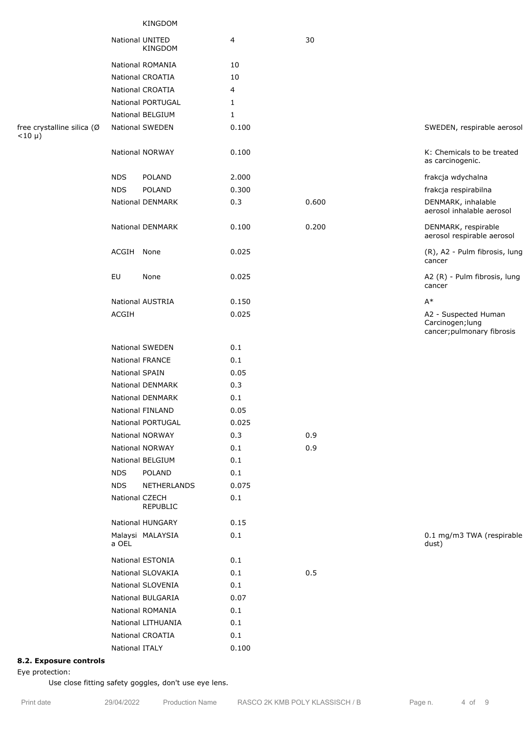| KINGDOM |  |
|---------|--|
|---------|--|

|                                            |                       | National UNITED<br><b>KINGDOM</b> | 4     | 30    |                                                                        |
|--------------------------------------------|-----------------------|-----------------------------------|-------|-------|------------------------------------------------------------------------|
|                                            |                       | National ROMANIA                  | 10    |       |                                                                        |
|                                            |                       | National CROATIA                  | 10    |       |                                                                        |
|                                            |                       | National CROATIA                  | 4     |       |                                                                        |
|                                            |                       | <b>National PORTUGAL</b>          | 1     |       |                                                                        |
|                                            |                       | <b>National BELGIUM</b>           | 1     |       |                                                                        |
| free crystalline silica (Ø<br>$< 10 \mu$ ) |                       | National SWEDEN                   | 0.100 |       | SWEDEN, respirable aerosol                                             |
|                                            |                       | National NORWAY                   | 0.100 |       | K: Chemicals to be treated<br>as carcinogenic.                         |
|                                            | <b>NDS</b>            | POLAND                            | 2.000 |       | frakcja wdychalna                                                      |
|                                            | <b>NDS</b>            | <b>POLAND</b>                     | 0.300 |       | frakcja respirabilna                                                   |
|                                            |                       | National DENMARK                  | 0.3   | 0.600 | DENMARK, inhalable<br>aerosol inhalable aerosol                        |
|                                            |                       | National DENMARK                  | 0.100 | 0.200 | DENMARK, respirable<br>aerosol respirable aerosol                      |
|                                            | ACGIH None            |                                   | 0.025 |       | (R), A2 - Pulm fibrosis, lung<br>cancer                                |
|                                            | EU                    | None                              | 0.025 |       | A2 (R) - Pulm fibrosis, lung<br>cancer                                 |
|                                            |                       | <b>National AUSTRIA</b>           | 0.150 |       | $A^*$                                                                  |
|                                            | ACGIH                 |                                   | 0.025 |       | A2 - Suspected Human<br>Carcinogen; lung<br>cancer; pulmonary fibrosis |
|                                            |                       | <b>National SWEDEN</b>            | 0.1   |       |                                                                        |
|                                            |                       | <b>National FRANCE</b>            | 0.1   |       |                                                                        |
|                                            | <b>National SPAIN</b> |                                   | 0.05  |       |                                                                        |
|                                            |                       | <b>National DENMARK</b>           | 0.3   |       |                                                                        |
|                                            |                       | <b>National DENMARK</b>           | 0.1   |       |                                                                        |
|                                            |                       | National FINLAND                  | 0.05  |       |                                                                        |
|                                            |                       | National PORTUGAL                 | 0.025 |       |                                                                        |
|                                            |                       | National NORWAY                   | 0.3   | 0.9   |                                                                        |
|                                            |                       | National NORWAY                   | 0.1   | 0.9   |                                                                        |
|                                            |                       | National BELGIUM                  | 0.1   |       |                                                                        |
|                                            | <b>NDS</b>            | POLAND                            | 0.1   |       |                                                                        |
|                                            | <b>NDS</b>            | NETHERLANDS                       | 0.075 |       |                                                                        |
|                                            |                       | National CZECH<br>REPUBLIC        | 0.1   |       |                                                                        |
|                                            |                       | National HUNGARY                  | 0.15  |       |                                                                        |
|                                            | a OEL                 | Malaysi MALAYSIA                  | 0.1   |       | 0.1 mg/m3 TWA (respirable<br>dust)                                     |
|                                            |                       | National ESTONIA                  | 0.1   |       |                                                                        |
|                                            |                       | National SLOVAKIA                 | 0.1   | 0.5   |                                                                        |
|                                            |                       | National SLOVENIA                 | 0.1   |       |                                                                        |
|                                            |                       | National BULGARIA                 | 0.07  |       |                                                                        |
|                                            |                       | National ROMANIA                  | 0.1   |       |                                                                        |
|                                            |                       | National LITHUANIA                | 0.1   |       |                                                                        |
|                                            |                       | National CROATIA                  | 0.1   |       |                                                                        |
|                                            | National ITALY        |                                   | 0.100 |       |                                                                        |

# **8.2. Exposure controls**

Eye protection:

Use close fitting safety goggles, don't use eye lens.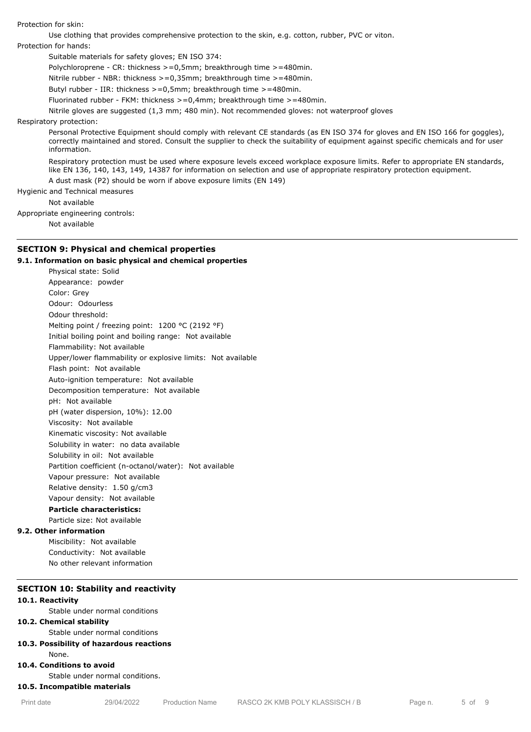Protection for skin:

Use clothing that provides comprehensive protection to the skin, e.g. cotton, rubber, PVC or viton. Protection for hands:

Suitable materials for safety gloves; EN ISO 374:

Polychloroprene - CR: thickness >=0,5mm; breakthrough time >=480min.

Nitrile rubber - NBR: thickness >=0,35mm; breakthrough time >=480min.

Butyl rubber - IIR: thickness >=0,5mm; breakthrough time >=480min.

Fluorinated rubber - FKM: thickness >=0,4mm; breakthrough time >=480min.

Nitrile gloves are suggested (1,3 mm; 480 min). Not recommended gloves: not waterproof gloves

### Respiratory protection:

Personal Protective Equipment should comply with relevant CE standards (as EN ISO 374 for gloves and EN ISO 166 for goggles), correctly maintained and stored. Consult the supplier to check the suitability of equipment against specific chemicals and for user information.

Respiratory protection must be used where exposure levels exceed workplace exposure limits. Refer to appropriate EN standards, like EN 136, 140, 143, 149, 14387 for information on selection and use of appropriate respiratory protection equipment. A dust mask (P2) should be worn if above exposure limits (EN 149)

Hygienic and Technical measures

Not available

Appropriate engineering controls:

Not available

# **SECTION 9: Physical and chemical properties**

### **9.1. Information on basic physical and chemical properties**

Physical state: Solid Appearance: powder Color: Grey Odour: Odourless Odour threshold: Melting point / freezing point: 1200 °C (2192 °F) Initial boiling point and boiling range: Not available Flammability: Not available Upper/lower flammability or explosive limits: Not available Flash point: Not available Auto-ignition temperature: Not available Decomposition temperature: Not available pH: Not available pH (water dispersion, 10%): 12.00 Viscosity: Not available Kinematic viscosity: Not available Solubility in water: no data available Solubility in oil: Not available Partition coefficient (n-octanol/water): Not available Vapour pressure: Not available Relative density: 1.50 g/cm3 Vapour density: Not available **Particle characteristics:** Particle size: Not available **9.2. Other information** Miscibility: Not available

Conductivity: Not available No other relevant information

# **SECTION 10: Stability and reactivity**

### **10.1. Reactivity**

Stable under normal conditions

# **10.2. Chemical stability**

Stable under normal conditions

# **10.3. Possibility of hazardous reactions**

None.

# **10.4. Conditions to avoid**

Stable under normal conditions.

# **10.5. Incompatible materials**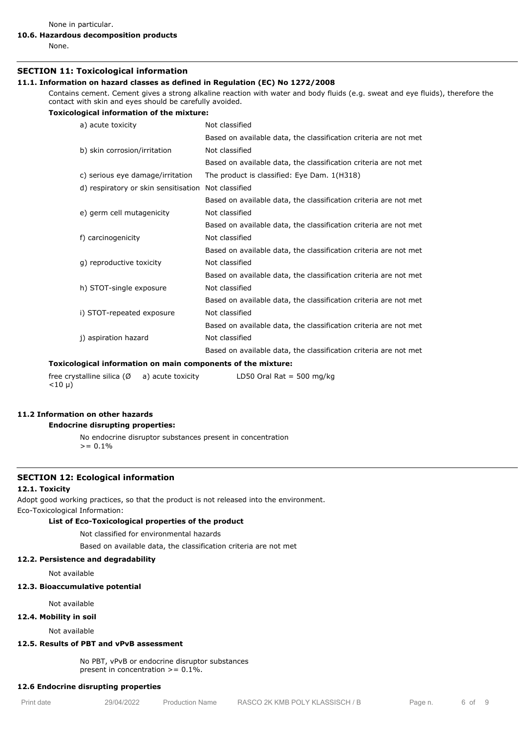None in particular.

# **10.6. Hazardous decomposition products**

None.

### **SECTION 11: Toxicological information**

### **11.1. Information on hazard classes as defined in Regulation (EC) No 1272/2008**

Contains cement. Cement gives a strong alkaline reaction with water and body fluids (e.g. sweat and eye fluids), therefore the contact with skin and eyes should be carefully avoided.

#### **Toxicological information of the mixture:**

| a) acute toxicity                    | Not classified                                                   |  |
|--------------------------------------|------------------------------------------------------------------|--|
|                                      | Based on available data, the classification criteria are not met |  |
| b) skin corrosion/irritation         | Not classified                                                   |  |
|                                      | Based on available data, the classification criteria are not met |  |
| c) serious eye damage/irritation     | The product is classified: Eye Dam. 1(H318)                      |  |
| d) respiratory or skin sensitisation | Not classified                                                   |  |
|                                      | Based on available data, the classification criteria are not met |  |
| e) germ cell mutagenicity            | Not classified                                                   |  |
|                                      | Based on available data, the classification criteria are not met |  |
| f) carcinogenicity                   | Not classified                                                   |  |
|                                      | Based on available data, the classification criteria are not met |  |
| g) reproductive toxicity             | Not classified                                                   |  |
|                                      | Based on available data, the classification criteria are not met |  |
| h) STOT-single exposure              | Not classified                                                   |  |
|                                      | Based on available data, the classification criteria are not met |  |
| i) STOT-repeated exposure            | Not classified                                                   |  |
|                                      | Based on available data, the classification criteria are not met |  |
| j) aspiration hazard                 | Not classified                                                   |  |
|                                      | Based on available data, the classification criteria are not met |  |

#### **Toxicological information on main components of the mixture:**

free crystalline silica  $(\emptyset \quad a)$  acute toxicity  $<$ 10 µ) LD50 Oral Rat = 500 mg/kg

# **11.2 Information on other hazards**

# **Endocrine disrupting properties:**

No endocrine disruptor substances present in concentration  $>= 0.1%$ 

# **SECTION 12: Ecological information**

# **12.1. Toxicity**

Adopt good working practices, so that the product is not released into the environment. Eco-Toxicological Information:

### **List of Eco-Toxicological properties of the product**

Not classified for environmental hazards

Based on available data, the classification criteria are not met

### **12.2. Persistence and degradability**

Not available

### **12.3. Bioaccumulative potential**

Not available

### **12.4. Mobility in soil**

Not available

# **12.5. Results of PBT and vPvB assessment**

No PBT, vPvB or endocrine disruptor substances present in concentration  $>= 0.1\%$ .

#### **12.6 Endocrine disrupting properties**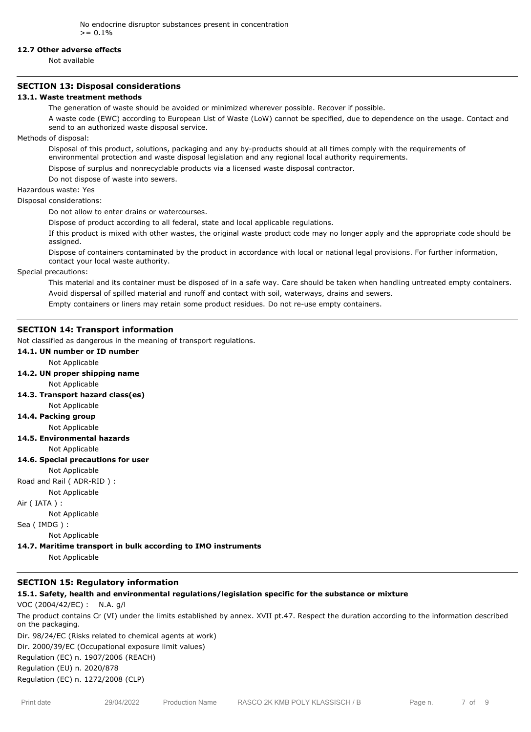### **12.7 Other adverse effects**

Not available

### **SECTION 13: Disposal considerations**

### **13.1. Waste treatment methods**

The generation of waste should be avoided or minimized wherever possible. Recover if possible.

A waste code (EWC) according to European List of Waste (LoW) cannot be specified, due to dependence on the usage. Contact and send to an authorized waste disposal service.

Methods of disposal:

Disposal of this product, solutions, packaging and any by-products should at all times comply with the requirements of environmental protection and waste disposal legislation and any regional local authority requirements.

Dispose of surplus and nonrecyclable products via a licensed waste disposal contractor.

Do not dispose of waste into sewers.

Hazardous waste: Yes

Disposal considerations:

Do not allow to enter drains or watercourses.

Dispose of product according to all federal, state and local applicable regulations.

If this product is mixed with other wastes, the original waste product code may no longer apply and the appropriate code should be assigned.

Dispose of containers contaminated by the product in accordance with local or national legal provisions. For further information, contact your local waste authority.

Special precautions:

This material and its container must be disposed of in a safe way. Care should be taken when handling untreated empty containers. Avoid dispersal of spilled material and runoff and contact with soil, waterways, drains and sewers.

Empty containers or liners may retain some product residues. Do not re-use empty containers.

# **SECTION 14: Transport information**

Not classified as dangerous in the meaning of transport regulations.

# **14.1. UN number or ID number**

Not Applicable

**14.2. UN proper shipping name**

Not Applicable

**14.3. Transport hazard class(es)**

# Not Applicable

**14.4. Packing group**

- Not Applicable
- **14.5. Environmental hazards**

Not Applicable

### **14.6. Special precautions for user**

Not Applicable

Road and Rail ( ADR-RID ) :

# Not Applicable

Air ( IATA ) :

Not Applicable

Sea ( IMDG ) :

Not Applicable

**14.7. Maritime transport in bulk according to IMO instruments**

Not Applicable

# **SECTION 15: Regulatory information**

**15.1. Safety, health and environmental regulations/legislation specific for the substance or mixture**

# VOC (2004/42/EC) : N.A. g/l

The product contains Cr (VI) under the limits established by annex. XVII pt.47. Respect the duration according to the information described on the packaging.

Dir. 98/24/EC (Risks related to chemical agents at work) Dir. 2000/39/EC (Occupational exposure limit values) Regulation (EC) n. 1907/2006 (REACH) Regulation (EU) n. 2020/878

Regulation (EC) n. 1272/2008 (CLP)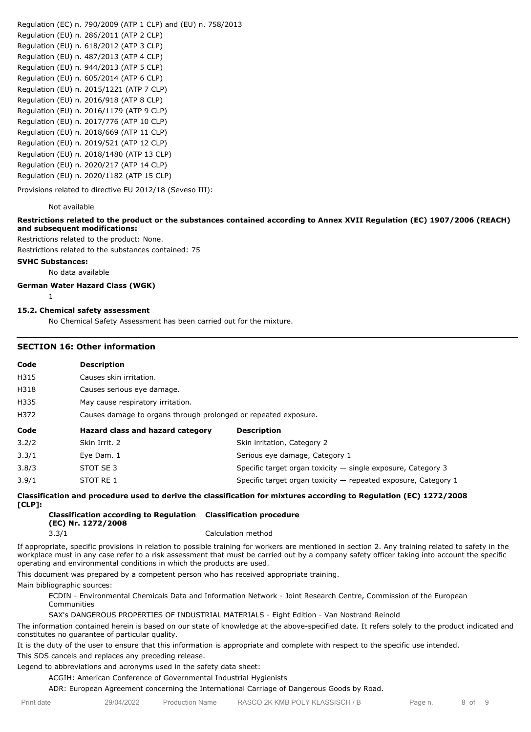Regulation (EC) n. 790/2009 (ATP 1 CLP) and (EU) n. 758/2013 Regulation (EU) n. 286/2011 (ATP 2 CLP) Regulation (EU) n. 618/2012 (ATP 3 CLP) Regulation (EU) n. 487/2013 (ATP 4 CLP) Regulation (EU) n. 944/2013 (ATP 5 CLP) Regulation (EU) n. 605/2014 (ATP 6 CLP) Regulation (EU) n. 2015/1221 (ATP 7 CLP) Regulation (EU) n. 2016/918 (ATP 8 CLP) Regulation (EU) n. 2016/1179 (ATP 9 CLP) Regulation (EU) n. 2017/776 (ATP 10 CLP) Regulation (EU) n. 2018/669 (ATP 11 CLP) Regulation (EU) n. 2019/521 (ATP 12 CLP) Regulation (EU) n. 2018/1480 (ATP 13 CLP) Regulation (EU) n. 2020/217 (ATP 14 CLP) Regulation (EU) n. 2020/1182 (ATP 15 CLP)

Provisions related to directive EU 2012/18 (Seveso III):

### Not available

# **Restrictions related to the product or the substances contained according to Annex XVII Regulation (EC) 1907/2006 (REACH) and subsequent modifications:**

Restrictions related to the product: None.

Restrictions related to the substances contained: 75

# **SVHC Substances:**

No data available

# **German Water Hazard Class (WGK)**

1

### **15.2. Chemical safety assessment**

No Chemical Safety Assessment has been carried out for the mixture.

### **SECTION 16: Other information**

| Code  | <b>Description</b>                                              |                                                                  |  |  |  |
|-------|-----------------------------------------------------------------|------------------------------------------------------------------|--|--|--|
| H315  | Causes skin irritation.                                         |                                                                  |  |  |  |
| H318  | Causes serious eye damage.                                      |                                                                  |  |  |  |
| H335  | May cause respiratory irritation.                               |                                                                  |  |  |  |
| H372  | Causes damage to organs through prolonged or repeated exposure. |                                                                  |  |  |  |
| Code  | Hazard class and hazard category                                | <b>Description</b>                                               |  |  |  |
| 3.2/2 | Skin Irrit. 2                                                   | Skin irritation, Category 2                                      |  |  |  |
| 3.3/1 | Eye Dam. 1                                                      | Serious eye damage, Category 1                                   |  |  |  |
| 3.8/3 | STOT SE 3                                                       | Specific target organ toxicity $-$ single exposure, Category 3   |  |  |  |
| 3.9/1 | STOT RE 1                                                       | Specific target organ toxicity $-$ repeated exposure, Category 1 |  |  |  |

### **Classification and procedure used to derive the classification for mixtures according to Regulation (EC) 1272/2008 [CLP]:**

#### **Classification according to Regulation Classification procedure (EC) Nr. 1272/2008** 3.3/1 Calculation method

If appropriate, specific provisions in relation to possible training for workers are mentioned in section 2. Any training related to safety in the workplace must in any case refer to a risk assessment that must be carried out by a company safety officer taking into account the specific operating and environmental conditions in which the products are used.

This document was prepared by a competent person who has received appropriate training.

Main bibliographic sources:

ECDIN - Environmental Chemicals Data and Information Network - Joint Research Centre, Commission of the European Communities

# SAX's DANGEROUS PROPERTIES OF INDUSTRIAL MATERIALS - Eight Edition - Van Nostrand Reinold

The information contained herein is based on our state of knowledge at the above-specified date. It refers solely to the product indicated and constitutes no guarantee of particular quality.

It is the duty of the user to ensure that this information is appropriate and complete with respect to the specific use intended. This SDS cancels and replaces any preceding release.

Legend to abbreviations and acronyms used in the safety data sheet:

### ACGIH: American Conference of Governmental Industrial Hygienists

ADR: European Agreement concerning the International Carriage of Dangerous Goods by Road.